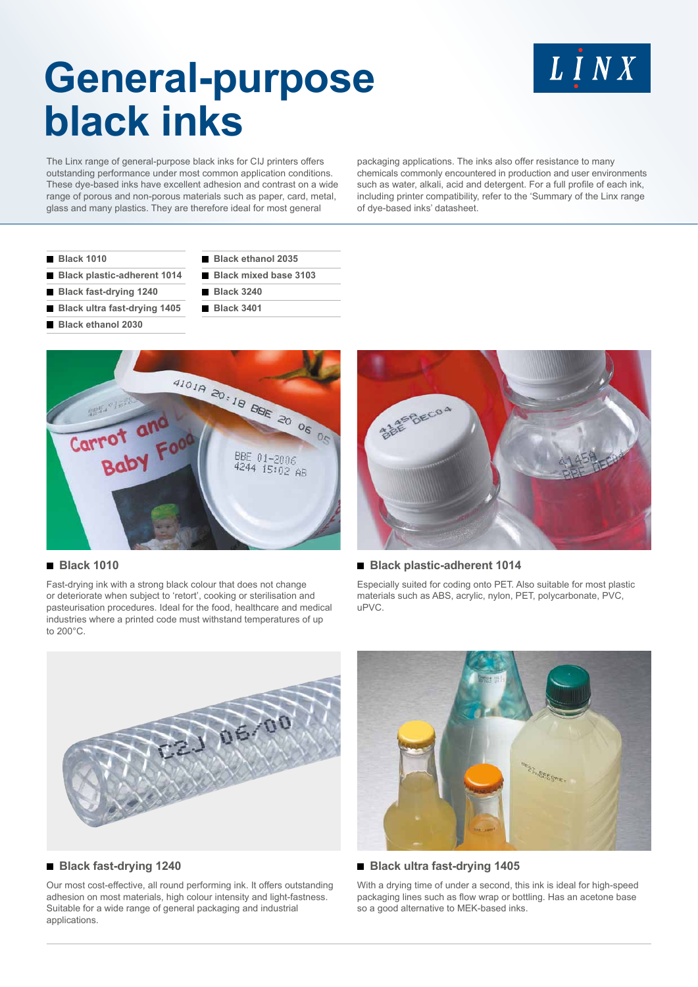# LINX

# **General-purpose black inks**

The Linx range of general-purpose black inks for CIJ printers offers outstanding performance under most common application conditions. These dye-based inks have excellent adhesion and contrast on a wide range of porous and non-porous materials such as paper, card, metal, glass and many plastics. They are therefore ideal for most general

packaging applications. The inks also offer resistance to many chemicals commonly encountered in production and user environments such as water, alkali, acid and detergent. For a full profile of each ink, including printer compatibility, refer to the 'Summary of the Linx range of dye-based inks' datasheet.

|  | <b>Black 1010</b> |  |  |  |
|--|-------------------|--|--|--|
|  |                   |  |  |  |

- **Black plastic-adherent 1014**
- **Black fast-drying 1240**
- **Black ultra fast-drying 1405**
- **Black ethanol 2030**
- **Black ethanol 2035**
- **Black mixed base 3103**
- **Black 3240**
	- **Black 3401**



#### **Black 1010**

Fast-drying ink with a strong black colour that does not change or deteriorate when subject to 'retort', cooking or sterilisation and pasteurisation procedures. Ideal for the food, healthcare and medical industries where a printed code must withstand temperatures of up to 200°C.



#### **Black plastic-adherent 1014**

Especially suited for coding onto PET. Also suitable for most plastic materials such as ABS, acrylic, nylon, PET, polycarbonate, PVC, uPVC.



#### **Black fast-drying 1240**

Our most cost-effective, all round performing ink. It offers outstanding adhesion on most materials, high colour intensity and light-fastness. Suitable for a wide range of general packaging and industrial applications.



#### ■ Black ultra fast-drying 1405

With a drying time of under a second, this ink is ideal for high-speed packaging lines such as flow wrap or bottling. Has an acetone base so a good alternative to MEK-based inks.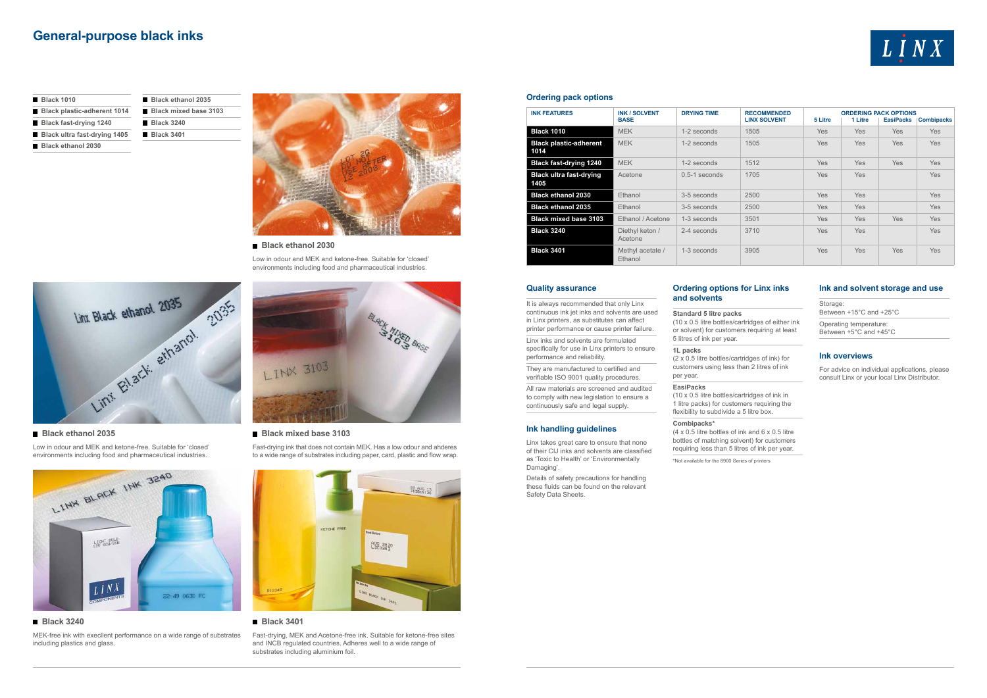### **General-purpose black inks**

#### **Ordering options for Linx inks and solvents**

**Standard 5 litre packs**  (10 x 0.5 litre bottles/cartridges of either ink or solvent) for customers requiring at least 5 litres of ink per year.

1 litre packs) for customers requiring the flexibility to subdivide a 5 litre box.

**1L packs** 

(2 x 0.5 litre bottles/cartridges of ink) for

customers using less than 2 litres of ink per year.

#### **EasiPacks**

(10 x 0.5 litre bottles/cartridges of ink in

 $(4 \times 0.5)$  litre bottles of ink and  $6 \times 0.5$  litre

### **Combipacks\***

bottles of matching solvent) for customers requiring less than 5 litres of ink per year.

\*Not available for the 8900 Series of printers



#### **Ink and solvent storage and use**

Storage: Between +15°C and +25°C Operating temperature: Between +5°C and +45°C

#### **Ink overviews**

For advice on individual applications, please consult Linx or your local Linx Distributor.

#### **Quality assurance**

It is always recommended that only Linx continuous ink jet inks and solvents are used in Linx printers, as substitutes can affect printer performance or cause printer failure.

Linx inks and solvents are formulated specifically for use in Linx printers to ensure performance and reliability.

They are manufactured to certified and verifiable ISO 9001 quality procedures.

All raw materials are screened and audited to comply with new legislation to ensure a continuously safe and legal supply.

#### **Ink handling guidelines**

Linx takes great care to ensure that none of their CIJ inks and solvents are classified as 'Toxic to Health' or 'Environmentally Damaging'.

Details of safety precautions for handling these fluids can be found on the relevant Safety Data Sheets.

#### **Ordering pack options**

| <b>INK FEATURES</b>                    | <b>INK / SOLVENT</b>        | <b>DRYING TIME</b> | <b>RECOMMENDED</b>  | <b>ORDERING PACK OPTIONS</b> |            |                  |                   |  |
|----------------------------------------|-----------------------------|--------------------|---------------------|------------------------------|------------|------------------|-------------------|--|
|                                        | <b>BASE</b>                 |                    | <b>LINX SOLVENT</b> | 5 Litre                      | 1 Litre    | <b>EasiPacks</b> | <b>Combipacks</b> |  |
| <b>Black 1010</b>                      | <b>MEK</b>                  | 1-2 seconds        | 1505                | <b>Yes</b>                   | <b>Yes</b> | <b>Yes</b>       | <b>Yes</b>        |  |
| <b>Black plastic-adherent</b><br>1014  | <b>MEK</b>                  | 1-2 seconds        | 1505                | <b>Yes</b>                   | <b>Yes</b> | <b>Yes</b>       | Yes               |  |
| <b>Black fast-drying 1240</b>          | <b>MEK</b>                  | 1-2 seconds        | 1512                | <b>Yes</b>                   | <b>Yes</b> | Yes              | <b>Yes</b>        |  |
| <b>Black ultra fast-drying</b><br>1405 | Acetone                     | $0.5-1$ seconds    | 1705                | <b>Yes</b>                   | <b>Yes</b> |                  | Yes               |  |
| <b>Black ethanol 2030</b>              | Ethanol                     | 3-5 seconds        | 2500                | <b>Yes</b>                   | <b>Yes</b> |                  | Yes               |  |
| <b>Black ethanol 2035</b>              | Ethanol                     | 3-5 seconds        | 2500                | <b>Yes</b>                   | <b>Yes</b> |                  | <b>Yes</b>        |  |
| <b>Black mixed base 3103</b>           | Ethanol / Acetone           | 1-3 seconds        | 3501                | <b>Yes</b>                   | Yes        | <b>Yes</b>       | <b>Yes</b>        |  |
| <b>Black 3240</b>                      | Diethyl keton /<br>Acetone  | 2-4 seconds        | 3710                | <b>Yes</b>                   | <b>Yes</b> |                  | <b>Yes</b>        |  |
| <b>Black 3401</b>                      | Methyl acetate /<br>Ethanol | 1-3 seconds        | 3905                | <b>Yes</b>                   | <b>Yes</b> | <b>Yes</b>       | <b>Yes</b>        |  |

| <b>Black 1010</b>             | Black               |
|-------------------------------|---------------------|
| Black plastic-adherent 1014   | $B$ Black           |
| <b>Black fast-drying 1240</b> | <b>Black</b><br>a s |
| Black ultra fast-drying 1405  | Black               |
| Black ethanol 2030            |                     |

#### **Black ethanol 2030**

Low in odour and MEK and ketone-free. Suitable for 'closed' environments including food and pharmaceutical industries.



#### **Black mixed base 3103**

Fast-drying ink that does not contain MEK. Has a low odour and ahderes to a wide range of substrates including paper, card, plastic and flow wrap.



| Black ethanol 2035           |
|------------------------------|
| <b>Black mixed base 3103</b> |
| <b>Black 3240</b>            |
| $B$ lack 3401                |
|                              |



#### **Black ethanol 2035**

Low in odour and MEK and ketone-free. Suitable for 'closed' environments including food and pharmaceutical industries.



#### **Black 3240**

MEK-free ink with execllent performance on a wide range of substrates including plastics and glass.



#### **Black 3401**

Fast-drying, MEK and Acetone-free ink. Suitable for ketone-free sites and INCB regulated countries. Adheres well to a wide range of substrates including aluminium foil.